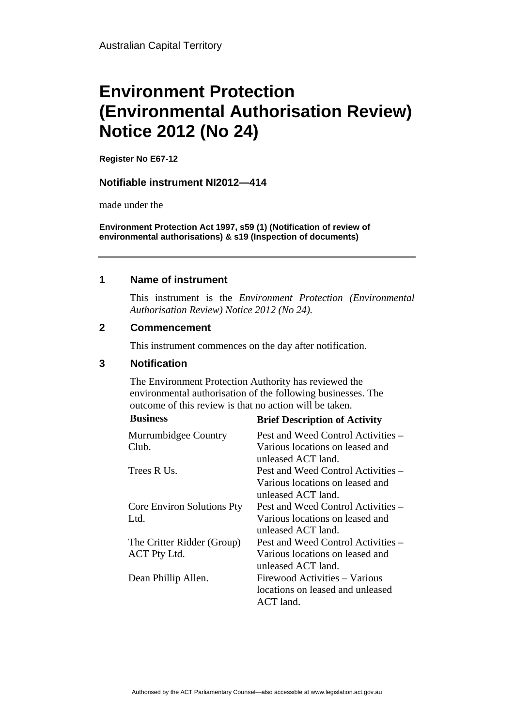# **Environment Protection (Environmental Authorisation Review) Notice 2012 (No 24)**

**Register No E67-12**

#### **Notifiable instrument NI2012—414**

made under the

**Environment Protection Act 1997, s59 (1) (Notification of review of environmental authorisations) & s19 (Inspection of documents)**

#### **1 Name of instrument**

This instrument is the *Environment Protection (Environmental Authorisation Review) Notice 2012 (No 24).* 

#### **2 Commencement**

This instrument commences on the day after notification.

### **3 Notification**

The Environment Protection Authority has reviewed the environmental authorisation of the following businesses. The outcome of this review is that no action will be taken.

| Pest and Weed Control Activities – |
|------------------------------------|
|                                    |
| Various locations on leased and    |
| unleased ACT land.                 |
| Pest and Weed Control Activities – |
| Various locations on leased and    |
| unleased ACT land.                 |
| Pest and Weed Control Activities – |
| Various locations on leased and    |
| unleased ACT land.                 |
| Pest and Weed Control Activities – |
| Various locations on leased and    |
| unleased ACT land.                 |
| Firewood Activities – Various      |
| locations on leased and unleased   |
| ACT land.                          |
|                                    |